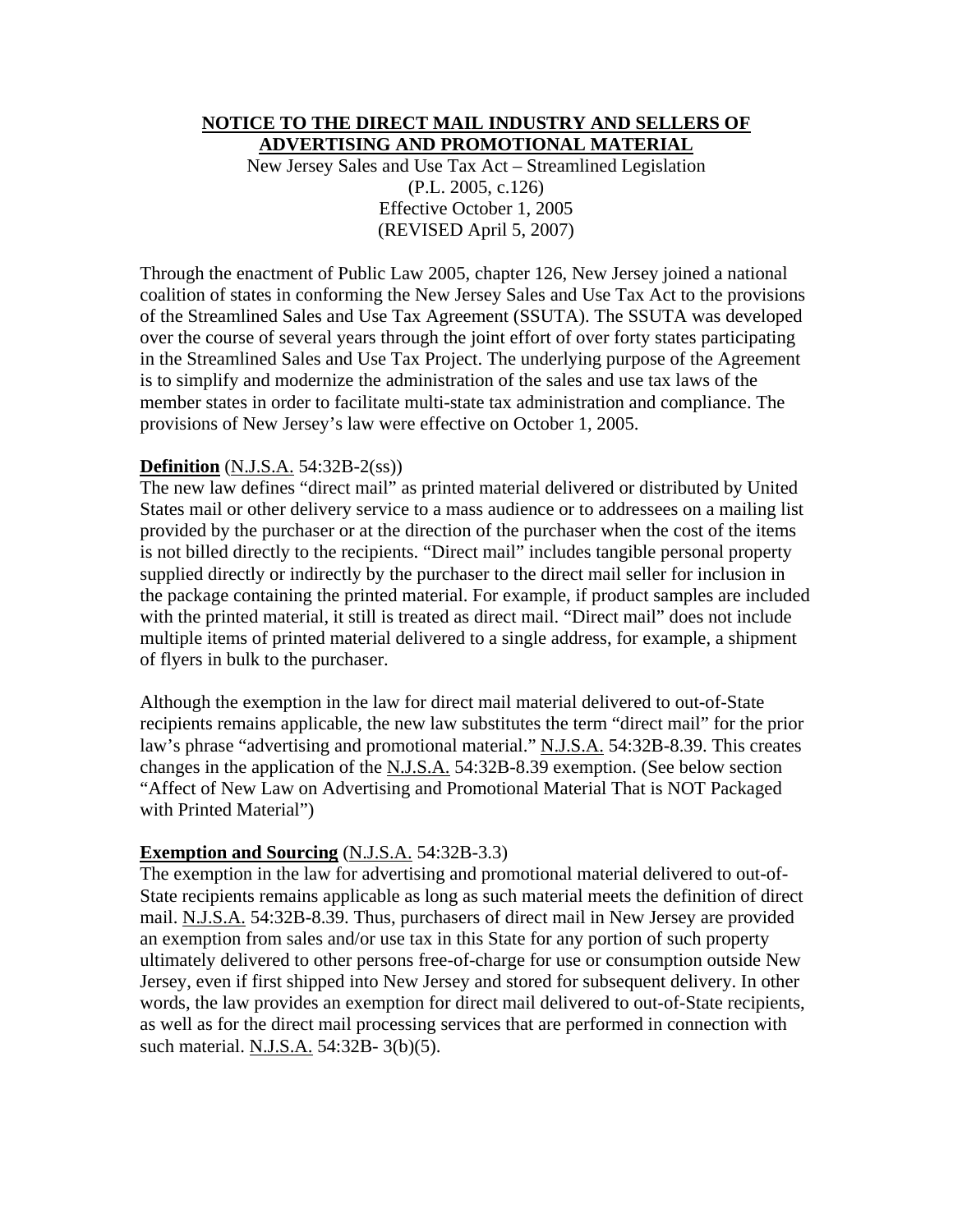#### **NOTICE TO THE DIRECT MAIL INDUSTRY AND SELLERS OF ADVERTISING AND PROMOTIONAL MATERIAL**

New Jersey Sales and Use Tax Act – Streamlined Legislation (P.L. 2005, c.126) Effective October 1, 2005 (REVISED April 5, 2007)

Through the enactment of Public Law 2005, chapter 126, New Jersey joined a national coalition of states in conforming the New Jersey Sales and Use Tax Act to the provisions of the Streamlined Sales and Use Tax Agreement (SSUTA). The SSUTA was developed over the course of several years through the joint effort of over forty states participating in the Streamlined Sales and Use Tax Project. The underlying purpose of the Agreement is to simplify and modernize the administration of the sales and use tax laws of the member states in order to facilitate multi-state tax administration and compliance. The provisions of New Jersey's law were effective on October 1, 2005.

## **Definition** (N.J.S.A. 54:32B-2(ss))

The new law defines "direct mail" as printed material delivered or distributed by United States mail or other delivery service to a mass audience or to addressees on a mailing list provided by the purchaser or at the direction of the purchaser when the cost of the items is not billed directly to the recipients. "Direct mail" includes tangible personal property supplied directly or indirectly by the purchaser to the direct mail seller for inclusion in the package containing the printed material. For example, if product samples are included with the printed material, it still is treated as direct mail. "Direct mail" does not include multiple items of printed material delivered to a single address, for example, a shipment of flyers in bulk to the purchaser.

Although the exemption in the law for direct mail material delivered to out-of-State recipients remains applicable, the new law substitutes the term "direct mail" for the prior law's phrase "advertising and promotional material." N.J.S.A. 54:32B-8.39. This creates changes in the application of the N.J.S.A. 54:32B-8.39 exemption. (See below section "Affect of New Law on Advertising and Promotional Material That is NOT Packaged with Printed Material")

### **Exemption and Sourcing** (N.J.S.A. 54:32B-3.3)

The exemption in the law for advertising and promotional material delivered to out-of-State recipients remains applicable as long as such material meets the definition of direct mail. N.J.S.A. 54:32B-8.39. Thus, purchasers of direct mail in New Jersey are provided an exemption from sales and/or use tax in this State for any portion of such property ultimately delivered to other persons free-of-charge for use or consumption outside New Jersey, even if first shipped into New Jersey and stored for subsequent delivery. In other words, the law provides an exemption for direct mail delivered to out-of-State recipients, as well as for the direct mail processing services that are performed in connection with such material. N.J.S.A. 54:32B- 3(b)(5).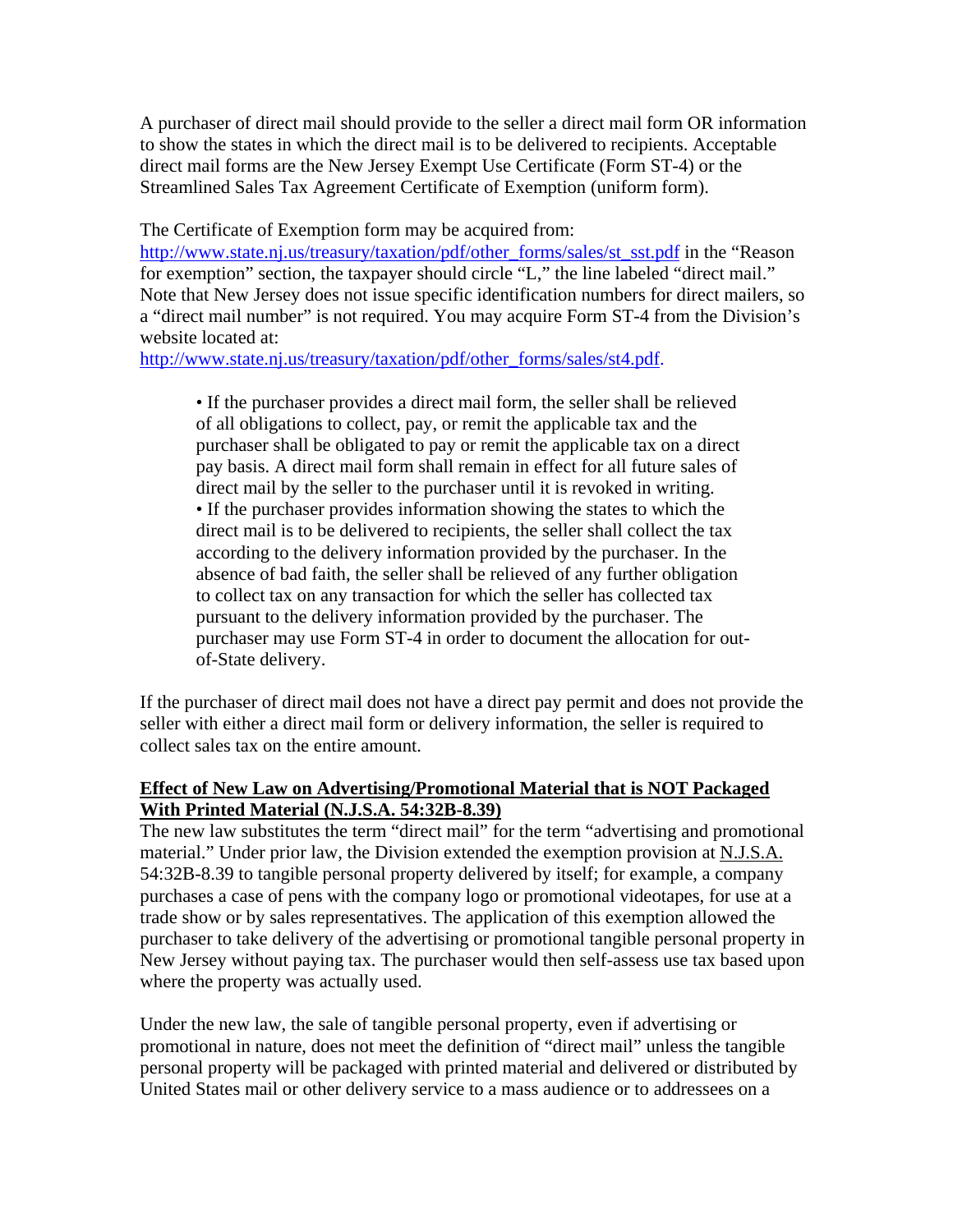A purchaser of direct mail should provide to the seller a direct mail form OR information to show the states in which the direct mail is to be delivered to recipients. Acceptable direct mail forms are the New Jersey Exempt Use Certificate (Form ST-4) or the Streamlined Sales Tax Agreement Certificate of Exemption (uniform form).

The Certificate of Exemption form may be acquired from:

http://www.state.nj.us/treasury/taxation/pdf/other\_forms/sales/st\_sst.pdf in the "Reason for exemption" section, the taxpayer should circle "L," the line labeled "direct mail." Note that New Jersey does not issue specific identification numbers for direct mailers, so a "direct mail number" is not required. You may acquire Form ST-4 from the Division's website located at:

http://www.state.nj.us/treasury/taxation/pdf/other\_forms/sales/st4.pdf.

• If the purchaser provides a direct mail form, the seller shall be relieved of all obligations to collect, pay, or remit the applicable tax and the purchaser shall be obligated to pay or remit the applicable tax on a direct pay basis. A direct mail form shall remain in effect for all future sales of direct mail by the seller to the purchaser until it is revoked in writing. • If the purchaser provides information showing the states to which the direct mail is to be delivered to recipients, the seller shall collect the tax according to the delivery information provided by the purchaser. In the absence of bad faith, the seller shall be relieved of any further obligation to collect tax on any transaction for which the seller has collected tax pursuant to the delivery information provided by the purchaser. The purchaser may use Form ST-4 in order to document the allocation for outof-State delivery.

If the purchaser of direct mail does not have a direct pay permit and does not provide the seller with either a direct mail form or delivery information, the seller is required to collect sales tax on the entire amount.

# **Effect of New Law on Advertising/Promotional Material that is NOT Packaged With Printed Material (N.J.S.A. 54:32B-8.39)**

The new law substitutes the term "direct mail" for the term "advertising and promotional material." Under prior law, the Division extended the exemption provision at N.J.S.A. 54:32B-8.39 to tangible personal property delivered by itself; for example, a company purchases a case of pens with the company logo or promotional videotapes, for use at a trade show or by sales representatives. The application of this exemption allowed the purchaser to take delivery of the advertising or promotional tangible personal property in New Jersey without paying tax. The purchaser would then self-assess use tax based upon where the property was actually used.

Under the new law, the sale of tangible personal property, even if advertising or promotional in nature, does not meet the definition of "direct mail" unless the tangible personal property will be packaged with printed material and delivered or distributed by United States mail or other delivery service to a mass audience or to addressees on a